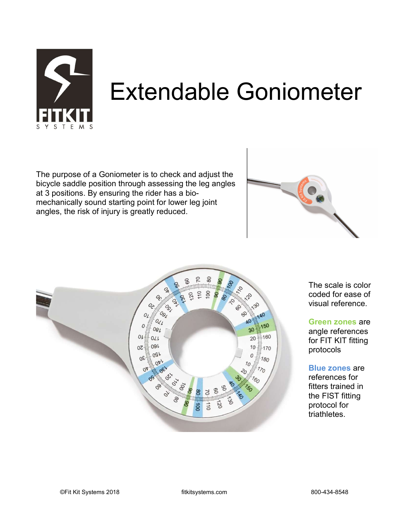

# Extendable Goniometer

The purpose of a Goniometer is to check and adjust the bicycle saddle position through assessing the leg angles at 3 positions. By ensuring the rider has a biomechanically sound starting point for lower leg joint angles, the risk of injury is greatly reduced.





The scale is color coded for ease of visual reference.

Green zones are angle references for FIT KIT fitting protocols

Blue zones are references for fitters trained in the FIST fitting protocol for triathletes.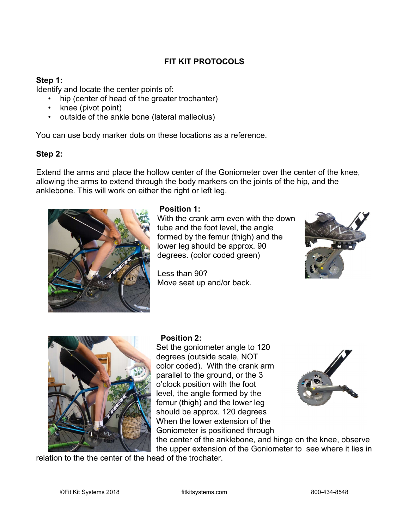## FIT KIT PROTOCOLS

#### Step 1:

Identify and locate the center points of:

- hip (center of head of the greater trochanter)
- knee (pivot point)
- outside of the ankle bone (lateral malleolus)

You can use body marker dots on these locations as a reference.

#### Step 2:

Extend the arms and place the hollow center of the Goniometer over the center of the knee, allowing the arms to extend through the body markers on the joints of the hip, and the anklebone. This will work on either the right or left leg.



#### Position 1:

With the crank arm even with the down tube and the foot level, the angle formed by the femur (thigh) and the lower leg should be approx. 90 degrees. (color coded green)

Less than 90? **Move seat up and/or back.** 





### Position 2:

Set the goniometer angle to 120 degrees (outside scale, NOT color coded). With the crank arm parallel to the ground, or the 3 o'clock position with the foot level, the angle formed by the femur (thigh) and the lower leg should be approx. 120 degrees When the lower extension of the Goniometer is positioned through



the center of the anklebone, and hinge on the knee, observe the upper extension of the Goniometer to see where it lies in

relation to the the center of the head of the trochater.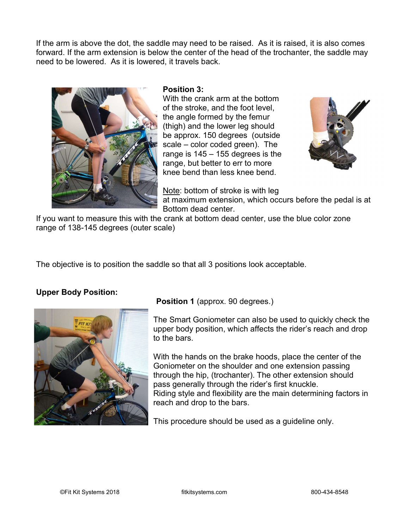If the arm is above the dot, the saddle may need to be raised. As it is raised, it is also comes forward. If the arm extension is below the center of the head of the trochanter, the saddle may need to be lowered. As it is lowered, it travels back.



#### Position 3:

With the crank arm at the bottom of the stroke, and the foot level, the angle formed by the femur (thigh) and the lower leg should be approx. 150 degrees (outside scale – color coded green). The range is 145 – 155 degrees is the range, but better to err to more knee bend than less knee bend.



 $\mathbb{N}$  Note: bottom of stroke is with leg at maximum extension, which occurs before the pedal is at Bottom dead center.

If you want to measure this with the crank at bottom dead center, use the blue color zone range of 138-145 degrees (outer scale)

The objective is to position the saddle so that all 3 positions look acceptable.

### Upper Body Position:



### Position 1 (approx. 90 degrees.)

The Smart Goniometer can also be used to quickly check the upper body position, which affects the rider's reach and drop to the bars.

With the hands on the brake hoods, place the center of the Goniometer on the shoulder and one extension passing through the hip, (trochanter). The other extension should pass generally through the rider's first knuckle. Riding style and flexibility are the main determining factors in reach and drop to the bars.

This procedure should be used as a guideline only.